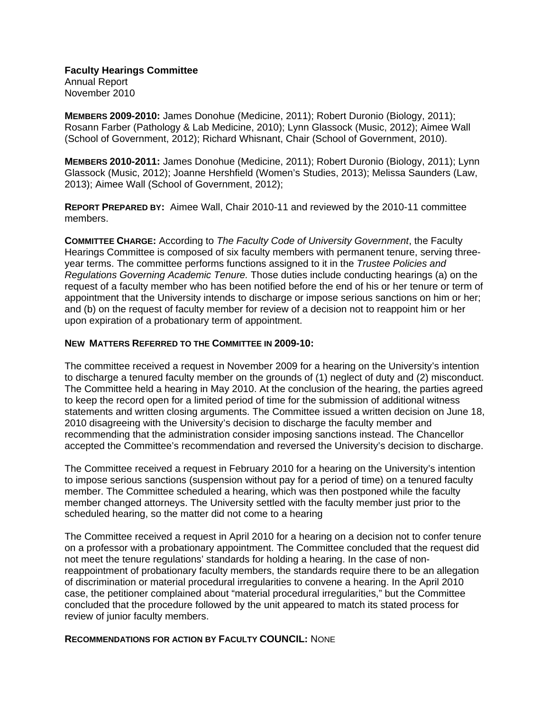**Faculty Hearings Committee**  Annual Report November 2010

**MEMBERS 2009-2010:** James Donohue (Medicine, 2011); Robert Duronio (Biology, 2011); Rosann Farber (Pathology & Lab Medicine, 2010); Lynn Glassock (Music, 2012); Aimee Wall (School of Government, 2012); Richard Whisnant, Chair (School of Government, 2010).

**MEMBERS 2010-2011:** James Donohue (Medicine, 2011); Robert Duronio (Biology, 2011); Lynn Glassock (Music, 2012); Joanne Hershfield (Women's Studies, 2013); Melissa Saunders (Law, 2013); Aimee Wall (School of Government, 2012);

**REPORT PREPARED BY:** Aimee Wall, Chair 2010-11 and reviewed by the 2010-11 committee members.

**COMMITTEE CHARGE:** According to *The Faculty Code of University Government*, the Faculty Hearings Committee is composed of six faculty members with permanent tenure, serving threeyear terms. The committee performs functions assigned to it in the *Trustee Policies and Regulations Governing Academic Tenure.* Those duties include conducting hearings (a) on the request of a faculty member who has been notified before the end of his or her tenure or term of appointment that the University intends to discharge or impose serious sanctions on him or her; and (b) on the request of faculty member for review of a decision not to reappoint him or her upon expiration of a probationary term of appointment.

## **NEW MATTERS REFERRED TO THE COMMITTEE IN 2009-10:**

The committee received a request in November 2009 for a hearing on the University's intention to discharge a tenured faculty member on the grounds of (1) neglect of duty and (2) misconduct. The Committee held a hearing in May 2010. At the conclusion of the hearing, the parties agreed to keep the record open for a limited period of time for the submission of additional witness statements and written closing arguments. The Committee issued a written decision on June 18, 2010 disagreeing with the University's decision to discharge the faculty member and recommending that the administration consider imposing sanctions instead. The Chancellor accepted the Committee's recommendation and reversed the University's decision to discharge.

The Committee received a request in February 2010 for a hearing on the University's intention to impose serious sanctions (suspension without pay for a period of time) on a tenured faculty member. The Committee scheduled a hearing, which was then postponed while the faculty member changed attorneys. The University settled with the faculty member just prior to the scheduled hearing, so the matter did not come to a hearing

The Committee received a request in April 2010 for a hearing on a decision not to confer tenure on a professor with a probationary appointment. The Committee concluded that the request did not meet the tenure regulations' standards for holding a hearing. In the case of nonreappointment of probationary faculty members, the standards require there to be an allegation of discrimination or material procedural irregularities to convene a hearing. In the April 2010 case, the petitioner complained about "material procedural irregularities," but the Committee concluded that the procedure followed by the unit appeared to match its stated process for review of junior faculty members.

## **RECOMMENDATIONS FOR ACTION BY FACULTY COUNCIL:** NONE